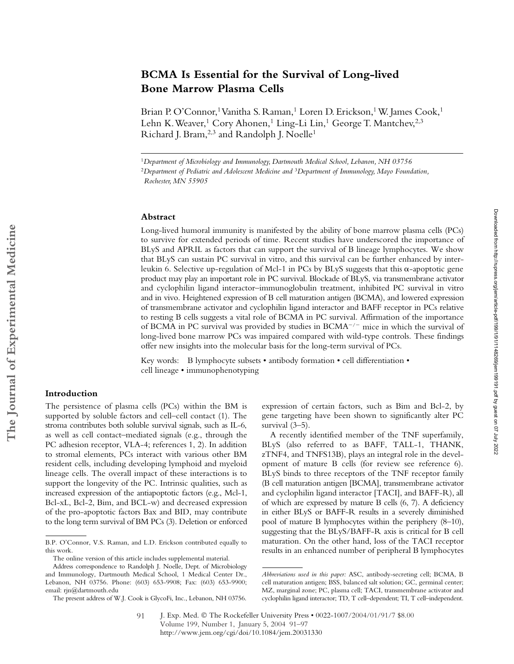# **BCMA Is Essential for the Survival of Long-lived Bone Marrow Plasma Cells**

Brian P. O'Connor,<sup>1</sup> Vanitha S. Raman,<sup>1</sup> Loren D. Erickson,<sup>1</sup> W. James Cook,<sup>1</sup> Lehn K. Weaver,<sup>1</sup> Cory Ahonen,<sup>1</sup> Ling-Li Lin,<sup>1</sup> George T. Mantchev,<sup>2,3</sup> Richard J. Bram,<sup>2,3</sup> and Randolph J. Noelle<sup>1</sup>

## **Abstract**

Long-lived humoral immunity is manifested by the ability of bone marrow plasma cells (PCs) to survive for extended periods of time. Recent studies have underscored the importance of BLyS and APRIL as factors that can support the survival of B lineage lymphocytes. We show that BLyS can sustain PC survival in vitro, and this survival can be further enhanced by interleukin 6. Selective up-regulation of Mcl-1 in PCs by BLyS suggests that this  $\alpha$ -apoptotic gene product may play an important role in PC survival. Blockade of BLyS, via transmembrane activator and cyclophilin ligand interactor–immunoglobulin treatment, inhibited PC survival in vitro and in vivo. Heightened expression of B cell maturation antigen (BCMA), and lowered expression of transmembrane activator and cyclophilin ligand interactor and BAFF receptor in PCs relative to resting B cells suggests a vital role of BCMA in PC survival. Affirmation of the importance of BCMA in PC survival was provided by studies in  $BCMA^{-/-}$  mice in which the survival of long-lived bone marrow PCs was impaired compared with wild-type controls. These findings offer new insights into the molecular basis for the long-term survival of PCs.

Key words: B lymphocyte subsets • antibody formation • cell differentiation • cell lineage • immunophenotyping

### **Introduction**

The persistence of plasma cells (PCs) within the BM is supported by soluble factors and cell–cell contact (1). The stroma contributes both soluble survival signals, such as IL-6, as well as cell contact–mediated signals (e.g., through the PC adhesion receptor, VLA-4; references 1, 2). In addition to stromal elements, PCs interact with various other BM resident cells, including developing lymphoid and myeloid lineage cells. The overall impact of these interactions is to support the longevity of the PC. Intrinsic qualities, such as increased expression of the antiapoptotic factors (e.g., Mcl-1, Bcl-xL, Bcl-2, Bim, and BCL-w) and decreased expression of the pro-apoptotic factors Bax and BID, may contribute to the long term survival of BM PCs (3). Deletion or enforced

expression of certain factors, such as Bim and Bcl-2, by gene targeting have been shown to significantly alter PC survival (3–5).

A recently identified member of the TNF superfamily, BLyS (also referred to as BAFF, TALL-1, THANK, zTNF4, and TNFS13B), plays an integral role in the development of mature B cells (for review see reference 6). BLyS binds to three receptors of the TNF receptor family (B cell maturation antigen [BCMA], transmembrane activator and cyclophilin ligand interactor [TACI], and BAFF-R), all of which are expressed by mature B cells (6, 7). A deficiency in either BLyS or BAFF-R results in a severely diminished pool of mature B lymphocytes within the periphery (8–10), suggesting that the BLyS/BAFF-R axis is critical for B cell maturation. On the other hand, loss of the TACI receptor results in an enhanced number of peripheral B lymphocytes

<sup>1</sup>*Department of Microbiology and Immunology, Dartmouth Medical School, Lebanon, NH 03756* <sup>2</sup>*Department of Pediatric and Adolescent Medicine and* <sup>3</sup>*Department of Immunology, Mayo Foundation, Rochester, MN 55905*

B.P. O'Connor, V.S. Raman, and L.D. Erickson contributed equally to this work.

The online version of this article includes supplemental material.

Address correspondence to Randolph J. Noelle, Dept. of Microbiology and Immunology, Dartmouth Medical School, 1 Medical Center Dr., Lebanon, NH 03756. Phone: (603) 653-9908; Fax: (603) 653-9900; email: rjn@dartmouth.edu

The present address of W.J. Cook is GlycoFi, Inc., Lebanon, NH 03756.

*Abbreviations used in this paper:* ASC, antibody-secreting cell; BCMA, B cell maturation antigen; BSS, balanced salt solution; GC, germinal center; MZ, marginal zone; PC, plasma cell; TACI, transmembrane activator and cyclophilin ligand interactor; TD, T cell–dependent; TI, T cell–independent.

J. Exp. Med. © The Rockefeller University Press • 0022-1007/2004/01/91/7 \$8.00 Volume 199, Number 1, January 5, 2004 91–97 http://www.jem.org/cgi/doi/10.1084/jem.20031330 91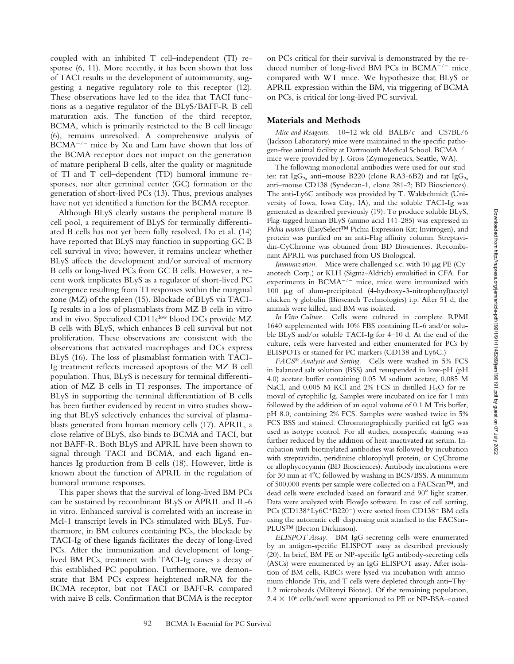coupled with an inhibited T cell–independent (TI) response (6, 11). More recently, it has been shown that loss of TACI results in the development of autoimmunity, suggesting a negative regulatory role to this receptor (12). These observations have led to the idea that TACI functions as a negative regulator of the BLyS/BAFF-R B cell maturation axis. The function of the third receptor, BCMA, which is primarily restricted to the B cell lineage (6), remains unresolved. A comprehensive analysis of  $B C M A^{-/-}$  mice by Xu and Lam have shown that loss of the BCMA receptor does not impact on the generation of mature peripheral B cells, alter the quality or magnitude of TI and T cell–dependent (TD) humoral immune responses, nor alter germinal center (GC) formation or the generation of short-lived PCs (13). Thus, previous analyses have not yet identified a function for the BCMA receptor.

Although BLyS clearly sustains the peripheral mature B cell pool, a requirement of BLyS for terminally differentiated B cells has not yet been fully resolved. Do et al. (14) have reported that BLyS may function in supporting GC B cell survival in vivo; however, it remains unclear whether BLyS affects the development and/or survival of memory B cells or long-lived PCs from GC B cells. However, a recent work implicates BLyS as a regulator of short-lived PC emergence resulting from TI responses within the marginal zone (MZ) of the spleen (15). Blockade of BLyS via TACI-Ig results in a loss of plasmablasts from MZ B cells in vitro and in vivo. Specialized CD11clow blood DCs provide MZ B cells with BLyS, which enhances B cell survival but not proliferation. These observations are consistent with the observations that activated macrophages and DCs express BLyS (16). The loss of plasmablast formation with TACI-Ig treatment reflects increased apoptosis of the MZ B cell population. Thus, BLyS is necessary for terminal differentiation of MZ B cells in TI responses. The importance of BLyS in supporting the terminal differentiation of B cells has been further evidenced by recent in vitro studies showing that BLyS selectively enhances the survival of plasmablasts generated from human memory cells (17). APRIL, a close relative of BLyS, also binds to BCMA and TACI, but not BAFF-R. Both BLyS and APRIL have been shown to signal through TACI and BCMA, and each ligand enhances Ig production from B cells (18). However, little is known about the function of APRIL in the regulation of humoral immune responses.

This paper shows that the survival of long-lived BM PCs can be sustained by recombinant BLyS or APRIL and IL-6 in vitro. Enhanced survival is correlated with an increase in Mcl-1 transcript levels in PCs stimulated with BLyS. Furthermore, in BM cultures containing PCs, the blockade by TACI-Ig of these ligands facilitates the decay of long-lived PCs. After the immunization and development of longlived BM PCs, treatment with TACI-Ig causes a decay of this established PC population. Furthermore, we demonstrate that BM PCs express heightened mRNA for the BCMA receptor, but not TACI or BAFF-R compared with naive B cells. Confirmation that BCMA is the receptor

on PCs critical for their survival is demonstrated by the reduced number of long-lived BM PCs in  $BCMA^{-/-}$  mice compared with WT mice. We hypothesize that BLyS or APRIL expression within the BM, via triggering of BCMA on PCs, is critical for long-lived PC survival.

# **Materials and Methods**

*Mice and Reagents.* 10–12-wk-old BALB/c and C57BL/6 (Jackson Laboratory) mice were maintained in the specific pathogen-free animal facility at Dartmouth Medical School.  $B C M A^{-/-}$ mice were provided by J. Gross (Zymogenetics, Seattle, WA).

The following monoclonal antibodies were used for our studies: rat Ig $G_{2a}$  anti–mouse B220 (clone RA3-6B2) and rat Ig $G_{2a}$ anti–mouse CD138 (Syndecan-1, clone 281-2; BD Biosciences). The anti-Ly6C antibody was provided by T. Waldschmidt (University of Iowa, Iowa City, IA), and the soluble TACI-Ig was generated as described previously (19). To produce soluble BLyS, Flag-tagged human BLyS (amino acid 141-285) was expressed in *Pichia pastoris* (EasySelect™ Pichia Expression Kit; Invitrogen), and protein was purified on an anti-Flag affinity column. Streptavidin-CyChrome was obtained from BD Biosciences. Recombinant APRIL was purchased from US Biological.

*Immunization.* Mice were challenged s.c. with 10  $\mu$ g PE (Cyanotech Corp.) or KLH (Sigma-Aldrich) emulsified in CFA. For experiments in  $BCMA^{-/-}$  mice, mice were immunized with 100 µg of alum-precipitated (4-hydroxy-3-nitrophenyl)acetyl chicken  $\gamma$  globulin (Biosearch Technologies) i.p. After 51 d, the animals were killed, and BM was isolated.

*In Vitro Culture.* Cells were cultured in complete RPMI 1640 supplemented with 10% FBS containing IL-6 and/or soluble BLyS and/or soluble TACI-Ig for 4–10 d. At the end of the culture, cells were harvested and either enumerated for PCs by ELISPOTs or stained for PC markers (CD138 and Ly6C.)

*FACS® Analysis and Sorting.* Cells were washed in 5% FCS in balanced salt solution (BSS) and resuspended in low-pH (pH 4.0) acetate buffer containing 0.05 M sodium acetate, 0.085 M NaCl, and 0.005 M KCl and 2% FCS in distilled  $H_2O$  for removal of cytophilic Ig. Samples were incubated on ice for 1 min followed by the addition of an equal volume of 0.1 M Tris buffer, pH 8.0, containing 2% FCS. Samples were washed twice in 5% FCS BSS and stained. Chromatographically purified rat IgG was used as isotype control. For all studies, nonspecific staining was further reduced by the addition of heat-inactivated rat serum. Incubation with biotinylated antibodies was followed by incubation with streptavidin, peridinine chlorophyll protein, or CyChrome or allophycocyanin (BD Biosciences). Antibody incubations were for 30 min at  $4^{\circ}$ C followed by washing in BCS/BSS. A minimum of 500,000 events per sample were collected on a FACScan™, and dead cells were excluded based on forward and 90° light scatter. Data were analyzed with FlowJo software. In case of cell sorting, PCs (CD138<sup>+</sup>Ly6C<sup>+</sup>B220<sup>-</sup>) were sorted from CD138<sup>+</sup> BM cells using the automatic cell–dispensing unit attached to the FACStar-PLUS™ (Becton Dickinson).

*ELISPOT Assay.* BM IgG-secreting cells were enumerated by an antigen-specific ELISPOT assay as described previously (20). In brief, BM PE or NP-specific IgG antibody-secreting cells (ASCs) were enumerated by an IgG ELISPOT assay. After isolation of BM cells, RBCs were lysed via incubation with ammonium chloride Tris, and T cells were depleted through anti–Thy-1.2 microbeads (Miltenyi Biotec). Of the remaining population,  $2.4 \times 10^6$  cells/well were apportioned to PE or NP-BSA–coated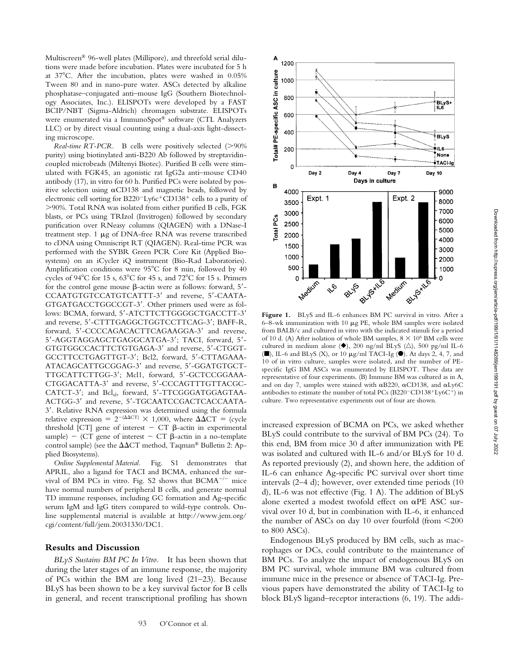Downloaded from http://rupress.org/jem/article-pdf/199/1/91/1148269/jem199191.pdf by guest on 07 July 2022

Multiscreen® 96-well plates (Millipore), and threefold serial dilutions were made before incubation. Plates were incubated for 5 h at 37C. After the incubation, plates were washed in 0.05% Tween 80 and in nano-pure water. ASCs detected by alkaline phosphatase–conjugated anti–mouse IgG (Southern Biotechnology Associates, Inc.). ELISPOTs were developed by a FAST BCIP/NBT (Sigma-Aldrich) chromagen substrate. ELISPOTs were enumerated via a ImmunoSpot® software (CTL Analyzers LLC) or by direct visual counting using a dual-axis light-dissecting microscope.

*Real-time RT-PCR.* B cells were positively selected (>90% purity) using biotinylated anti-B220 Ab followed by streptavidincoupled microbeads (Miltenyi Biotec). Purified B cells were stimulated with FGK45, an agonistic rat IgG2a anti–mouse CD40 antibody (17), in vitro for 60 h. Purified PCs were isolated by positive selection using  $\alpha$ CD138 and magnetic beads, followed by electronic cell sorting for  $B220^-$ Ly6c<sup>+</sup>CD138<sup>+</sup> cells to a purity of 90%. Total RNA was isolated from either purified B cells, FGK blasts, or PCs using TRIzol (Invitrogen) followed by secondary purification over RNeasy columns (QIAGEN) with a DNase-I treatment step. 1  $\mu$ g of DNA-free RNA was reverse transcribed to cDNA using Omniscript RT (QIAGEN). Real-time PCR was performed with the SYBR Green PCR Core Kit (Applied Biosystems) on an iCycler iQ instrument (Bio-Rad Laboratories). Amplification conditions were  $95^{\circ}$ C for 8 min, followed by 40 cycles of 94 $\rm ^{o}C$  for 15 s, 63 $\rm ^{o}C$  for 45 s, and 72 $\rm ^{o}C$  for 15 s. Primers for the control gene mouse  $\beta$ -actin were as follows: forward, 5'-CCAATGTGTCCATGTCATTT-3' and reverse, 5'-CAATA-GTGATGACCTGGCCGT-3'. Other primers used were as follows: BCMA, forward, 5'-ATCTTCTTGGGGCTGACCTT-3' and reverse, 5'-CTTTGAGGCTGGTCCTTCAG-3'; BAFF-R, forward, 5'-CCCCAGACACTTCAGAAGGA-3' and reverse, 5-AGGTAGGAGCTGAGGCATGA-3; TACI, forward, 5- GTGTGGCCACTTCTGTGAGA-3' and reverse, 5'-CTGGT-GCCTTCCTGAGTTGT-3; Bcl2, forward, 5-CTTAGAAA-ATACAGCATTGCGGAG-3' and reverse, 5'-GGATGTGCT-TTGCATTCTTGG-3; Mcl1, forward, 5-GCTCCGGAAA-CTGGACATTA-3' and reverse, 5'-CCCAGTTTGTTACGC-CATCT-3'; and Bcl<sub>xl</sub>, forward, 5'-TTCGGGATGGAGTAA-ACTGG-3' and reverse, 5'-TGCAATCCGACTCACCAATA-3. Relative RNA expression was determined using the formula relative expression =  $2^{-(\Delta\Delta CT)} \times 1,000$ , where  $\Delta\Delta CT$  = (cycle threshold [CT] gene of interest  $-$  CT  $\beta$ -actin in experimental sample) – (CT gene of interest – CT  $\beta$ -actin in a no-template control sample) (see the  $\Delta \Delta \text{CT}$  method, Taqman® Bulletin 2: Applied Biosystems).

*Online Supplemental Material.* Fig. S1 demonstrates that APRIL, also a ligand for TACI and BCMA, enhanced the survival of BM PCs in vitro. Fig. S2 shows that  $BCMA^{-/-}$  mice have normal numbers of peripheral B cells, and generate normal TD immune responses, including GC formation and Ag-specific serum IgM and IgG titers compared to wild-type controls. Online supplemental material is available at http://www.jem.org/ cgi/content/full/jem.20031330/DC1.

## **Results and Discussion**

*BLyS Sustains BM PC In Vitro.* It has been shown that during the later stages of an immune response, the majority of PCs within the BM are long lived (21–23). Because BLyS has been shown to be a key survival factor for B cells in general, and recent transcriptional profiling has shown



Figure 1. BLyS and IL-6 enhances BM PC survival in vitro. After a  $6-8$ -wk immunization with 10  $\mu$ g PE, whole BM samples were isolated from BALB/c and cultured in vitro with the indicated stimuli for a period of 10 d. (A) After isolation of whole BM samples,  $8 \times 10^6$  BM cells were cultured in medium alone ( $\blacklozenge$ ), 200 ng/ml BLyS ( $\triangle$ ), 500 pg/ml IL-6  $(\blacksquare)$ , IL-6 and BLyS (X), or 10  $\mu$ g/ml TACI-Ig ( $\blacksquare$ ). At days 2, 4, 7, and 10 of in vitro culture, samples were isolated, and the number of PEspecific IgG BM ASCs was enumerated by ELISPOT. These data are representative of four experiments. (B) Immune BM was cultured as in A, and on day 7, samples were stained with  $\alpha$ B220,  $\alpha$ CD138, and  $\alpha$ Ly6C antibodies to estimate the number of total PCs (B220<sup>-</sup>CD138<sup>+</sup>Ly6C<sup>+</sup>) in culture. Two representative experiments out of four are shown.

increased expression of BCMA on PCs, we asked whether BLyS could contribute to the survival of BM PCs (24). To this end, BM from mice 30 d after immunization with PE was isolated and cultured with IL-6 and/or BLyS for 10 d. As reported previously (2), and shown here, the addition of IL-6 can enhance Ag-specific PC survival over short time intervals (2–4 d); however, over extended time periods (10 d), IL-6 was not effective (Fig. 1 A). The addition of BLyS alone exerted a modest twofold effect on  $\alpha$ PE ASC survival over 10 d, but in combination with IL-6, it enhanced the number of ASCs on day 10 over fourfold (from 200 to 800 ASCs).

Endogenous BLyS produced by BM cells, such as macrophages or DCs, could contribute to the maintenance of BM PCs. To analyze the impact of endogenous BLyS on BM PC survival, whole immune BM was cultured from immune mice in the presence or absence of TACI-Ig. Previous papers have demonstrated the ability of TACI-Ig to block BLyS ligand–receptor interactions (6, 19). The addi-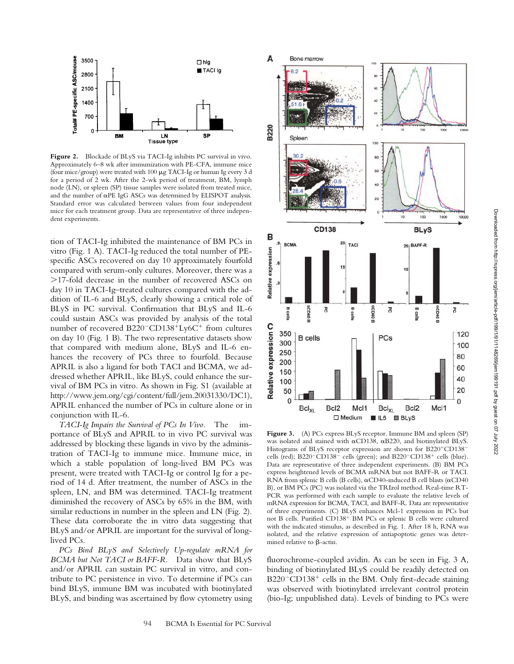

Figure 2. Blockade of BLyS via TACI-Ig inhibits PC survival in vivo. Approximately 6–8 wk after immunization with PE-CFA, immune mice (four mice/group) were treated with 100  $\mu$ g TACI-Ig or human Ig every 3 d for a period of 2 wk. After the 2-wk period of treatment, BM, lymph node (LN), or spleen (SP) tissue samples were isolated from treated mice, and the number of  $\alpha$ PE IgG ASCs was determined by ELISPOT analysis. Standard error was calculated between values from four independent mice for each treatment group. Data are representative of three independent experiments.

tion of TACI-Ig inhibited the maintenance of BM PCs in vitro (Fig. 1 A). TACI-Ig reduced the total number of PEspecific ASCs recovered on day 10 approximately fourfold compared with serum-only cultures. Moreover, there was a 17-fold decrease in the number of recovered ASCs on day 10 in TACI-Ig–treated cultures compared with the addition of IL-6 and BLyS, clearly showing a critical role of BLyS in PC survival. Confirmation that BLyS and IL-6 could sustain ASCs was provided by analysis of the total number of recovered B220<sup>-</sup>CD138<sup>+</sup>Ly6C<sup>+</sup> from cultures on day 10 (Fig. 1 B). The two representative datasets show that compared with medium alone, BLyS and IL-6 enhances the recovery of PCs three to fourfold. Because APRIL is also a ligand for both TACI and BCMA, we addressed whether APRIL, like BLyS, could enhance the survival of BM PCs in vitro. As shown in Fig. S1 (available at http://www.jem.org/cgi/content/full/jem.20031330/DC1), APRIL enhanced the number of PCs in culture alone or in conjunction with IL-6.

*TACI-Ig Impairs the Survival of PCs In Vivo.* The importance of BLyS and APRIL to in vivo PC survival was addressed by blocking these ligands in vivo by the administration of TACI-Ig to immune mice. Immune mice, in which a stable population of long-lived BM PCs was present, were treated with TACI-Ig or control Ig for a period of 14 d. After treatment, the number of ASCs in the spleen, LN, and BM was determined. TACI-Ig treatment diminished the recovery of ASCs by 65% in the BM, with similar reductions in number in the spleen and LN (Fig. 2). These data corroborate the in vitro data suggesting that BLyS and/or APRIL are important for the survival of longlived PCs.

*PCs Bind BLyS and Selectively Up-regulate mRNA for BCMA but Not TACI or BAFF-R.* Data show that BLyS and/or APRIL can sustain PC survival in vitro, and contribute to PC persistence in vivo. To determine if PCs can bind BLyS, immune BM was incubated with biotinylated BLyS, and binding was ascertained by flow cytometry using



Figure 3. (A) PCs express BLyS receptor. Immune BM and spleen (SP) was isolated and stained with  $\alpha$ CD138,  $\alpha$ B220, and biotinylated BLyS. Histograms of BLyS receptor expression are shown for  $B220^+CD138^$ cells (red); B220<sup>-</sup>CD138<sup>-</sup> cells (green); and B220<sup>-</sup>CD138<sup>+</sup> cells (blue). Data are representative of three independent experiments. (B) BM PCs express heightened levels of BCMA mRNA but not BAFF-R or TACI. RNA from splenic B cells (B cells),  $\alpha$ CD40-induced B cell blasts ( $\alpha$ CD40 B), or BM PCs (PC) was isolated via the TRIzol method. Real-time RT-PCR was performed with each sample to evaluate the relative levels of mRNA expression for BCMA, TACI, and BAFF-R. Data are representative of three experiments. (C) BLyS enhances Mcl-1 expression in PCs but not B cells. Purified CD138<sup>+</sup> BM PCs or splenic B cells were cultured with the indicated stimulus, as described in Fig. 1. After 18 h, RNA was isolated, and the relative expression of antiapoptotic genes was determined relative to  $\beta$ -actin.

fluorochrome-coupled avidin. As can be seen in Fig. 3 A, binding of biotinylated BLyS could be readily detected on  $B220$ <sup>-</sup>CD138<sup>+</sup> cells in the BM. Only first-decade staining was observed with biotinylated irrelevant control protein (bio-Ig; unpublished data). Levels of binding to PCs were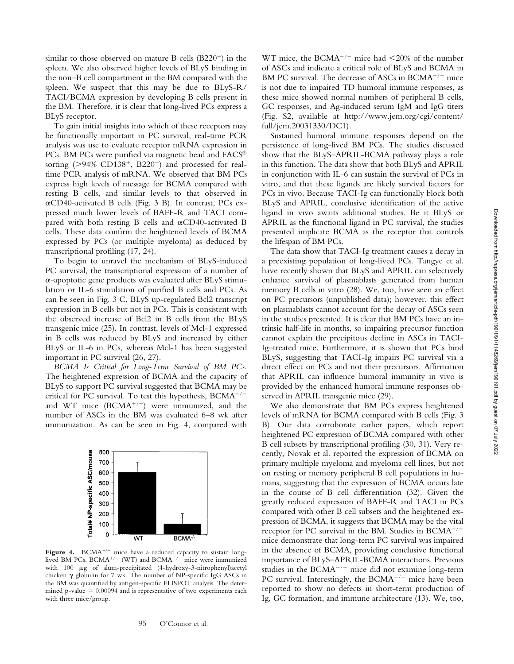similar to those observed on mature B cells  $(B220<sup>+</sup>)$  in the spleen. We also observed higher levels of BLyS binding in the non–B cell compartment in the BM compared with the spleen. We suspect that this may be due to BLyS-R/ TACI/BCMA expression by developing B cells present in the BM. Therefore, it is clear that long-lived PCs express a BLyS receptor.

To gain initial insights into which of these receptors may be functionally important in PC survival, real-time PCR analysis was use to evaluate receptor mRNA expression in PCs. BM PCs were purified via magnetic bead and FACS® sorting  $(>94\%$  CD138<sup>+</sup>, B220<sup>-</sup>) and processed for realtime PCR analysis of mRNA. We observed that BM PCs express high levels of message for BCMA compared with resting B cells, and similar levels to that observed in -CD40-activated B cells (Fig. 3 B). In contrast, PCs expressed much lower levels of BAFF-R and TACI compared with both resting B cells and  $\alpha$ CD40-activated B cells. These data confirm the heightened levels of BCMA expressed by PCs (or multiple myeloma) as deduced by transcriptional profiling (17, 24).

To begin to unravel the mechanism of BLyS-induced PC survival, the transcriptional expression of a number of --apoptotic gene products was evaluated after BLyS stimulation or IL-6 stimulation of purified B cells and PCs. As can be seen in Fig. 3 C, BLyS up-regulated Bcl2 transcript expression in B cells but not in PCs. This is consistent with the observed increase of Bcl2 in B cells from the BLyS transgenic mice (25). In contrast, levels of Mcl-1 expressed in B cells was reduced by BLyS and increased by either BLyS or IL-6 in PCs, whereas Mcl-1 has been suggested important in PC survival (26, 27).

*BCMA Is Critical for Long-Term Survival of BM PCs.* The heightened expression of BCMA and the capacity of BLyS to support PC survival suggested that BCMA may be critical for PC survival. To test this hypothesis,  $B C M A^{-/-}$ and WT mice  $(BCMA^{+/-})$  were immunized, and the number of ASCs in the BM was evaluated 6–8 wk after immunization. As can be seen in Fig. 4, compared with



Figure 4. BCMA<sup>-/-</sup> mice have a reduced capacity to sustain longlived BM PCs.  $BCMA^{+/-}$  (WT) and  $BCMA^{-/-}$  mice were immunized with 100  $\mu$ g of alum-precipitated (4-hydroxy-3-nitrophenyl)acetyl chicken  $\gamma$  globulin for 7 wk. The number of NP-specific IgG ASCs in the BM was quantified by antigen-specific ELISPOT analysis. The determined p-value  $= 0.00094$  and is representative of two experiments each with three mice/group.

WT mice, the BCMA<sup>-/-</sup> mice had  $\leq$ 20% of the number of ASCs and indicate a critical role of BLyS and BCMA in BM PC survival. The decrease of ASCs in  $BCMA^{-/-}$  mice is not due to impaired TD humoral immune responses, as these mice showed normal numbers of peripheral B cells, GC responses, and Ag-induced serum IgM and IgG titers (Fig. S2, available at http://www.jem.org/cgi/content/ full/jem.20031330/DC1).

Sustained humoral immune responses depend on the persistence of long-lived BM PCs. The studies discussed show that the BLyS–APRIL-BCMA pathway plays a role in this function. The data show that both BLyS and APRIL in conjunction with IL-6 can sustain the survival of PCs in vitro, and that these ligands are likely survival factors for PCs in vivo. Because TACI-Ig can functionally block both BLyS and APRIL, conclusive identification of the active ligand in vivo awaits additional studies. Be it BLyS or APRIL as the functional ligand in PC survival, the studies presented implicate BCMA as the receptor that controls the lifespan of BM PCs.

The data show that TACI-Ig treatment causes a decay in a preexisting population of long-lived PCs. Tangye et al. have recently shown that BLyS and APRIL can selectively enhance survival of plasmablasts generated from human memory B cells in vitro (28). We, too, have seen an effect on PC precursors (unpublished data); however, this effect on plasmablasts cannot account for the decay of ASCs seen in the studies presented. It is clear that BM PCs have an intrinsic half-life in months, so impairing precursor function cannot explain the precipitous decline in ASCs in TACI-Ig–treated mice. Furthermore, it is shown that PCs bind BLyS, suggesting that TACI-Ig impairs PC survival via a direct effect on PCs and not their precursors. Affirmation that APRIL can influence humoral immunity in vivo is provided by the enhanced humoral immune responses observed in APRIL transgenic mice (29).

We also demonstrate that BM PCs express heightened levels of mRNA for BCMA compared with B cells (Fig. 3 B). Our data corroborate earlier papers, which report heightened PC expression of BCMA compared with other B cell subsets by transcriptional profiling (30, 31). Very recently, Novak et al. reported the expression of BCMA on primary multiple myeloma and myeloma cell lines, but not on resting or memory peripheral B cell populations in humans, suggesting that the expression of BCMA occurs late in the course of B cell differentiation (32). Given the greatly reduced expression of BAFF-R and TACI in PCs compared with other B cell subsets and the heightened expression of BCMA, it suggests that BCMA may be the vital receptor for PC survival in the BM. Studies in  $BCMA^{-/-}$ mice demonstrate that long-term PC survival was impaired in the absence of BCMA, providing conclusive functional importance of BLyS–APRIL-BCMA interactions. Previous studies in the  $BCMA^{-/-}$  mice did not examine long-term PC survival. Interestingly, the  $BCMA^{-/-}$  mice have been reported to show no defects in short-term production of Ig, GC formation, and immune architecture (13). We, too,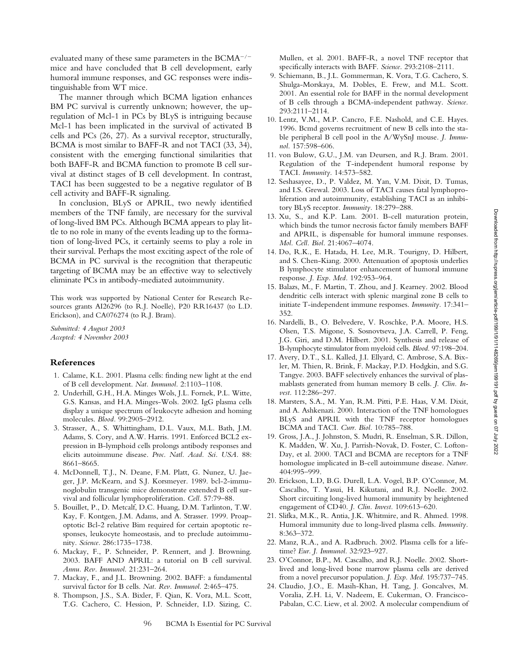evaluated many of these same parameters in the  $B C M A^{-/-}$ mice and have concluded that B cell development, early humoral immune responses, and GC responses were indistinguishable from WT mice.

The manner through which BCMA ligation enhances BM PC survival is currently unknown; however, the upregulation of Mcl-1 in PCs by BLyS is intriguing because Mcl-1 has been implicated in the survival of activated B cells and PCs (26, 27). As a survival receptor, structurally, BCMA is most similar to BAFF-R and not TACI (33, 34), consistent with the emerging functional similarities that both BAFF-R and BCMA function to promote B cell survival at distinct stages of B cell development. In contrast, TACI has been suggested to be a negative regulator of B cell activity and BAFF-R signaling.

In conclusion, BLyS or APRIL, two newly identified members of the TNF family, are necessary for the survival of long-lived BM PCs. Although BCMA appears to play little to no role in many of the events leading up to the formation of long-lived PCs, it certainly seems to play a role in their survival. Perhaps the most exciting aspect of the role of BCMA in PC survival is the recognition that therapeutic targeting of BCMA may be an effective way to selectively eliminate PCs in antibody-mediated autoimmunity.

This work was supported by National Center for Research Resources grants AI26296 (to R.J. Noelle), P20 RR16437 (to L.D. Erickson), and CA076274 (to R.J. Bram).

*Submitted: 4 August 2003 Accepted: 4 November 2003*

#### **References**

- 1. Calame, K.L. 2001. Plasma cells: finding new light at the end of B cell development. *Nat. Immunol.* 2:1103–1108.
- 2. Underhill, G.H., H.A. Minges Wols, J.L. Fornek, P.L. Witte, G.S. Kansas, and H.A. Minges-Wols. 2002. IgG plasma cells display a unique spectrum of leukocyte adhesion and homing molecules. *Blood.* 99:2905–2912.
- 3. Strasser, A., S. Whittingham, D.L. Vaux, M.L. Bath, J.M. Adams, S. Cory, and A.W. Harris. 1991. Enforced BCL2 expression in B-lymphoid cells prolongs antibody responses and elicits autoimmune disease. *Proc. Natl. Acad. Sci. USA.* 88: 8661–8665.
- 4. McDonnell, T.J., N. Deane, F.M. Platt, G. Nunez, U. Jaeger, J.P. McKearn, and S.J. Korsmeyer. 1989. bcl-2-immunoglobulin transgenic mice demonstrate extended B cell survival and follicular lymphoproliferation. *Cell.* 57:79–88.
- 5. Bouillet, P., D. Metcalf, D.C. Huang, D.M. Tarlinton, T.W. Kay, F. Kontgen, J.M. Adams, and A. Strasser. 1999. Proapoptotic Bcl-2 relative Bim required for certain apoptotic responses, leukocyte homeostasis, and to preclude autoimmunity. *Science.* 286:1735–1738.
- 6. Mackay, F., P. Schneider, P. Rennert, and J. Browning. 2003. BAFF AND APRIL: a tutorial on B cell survival. *Annu. Rev. Immunol.* 21:231–264.
- 7. Mackay, F., and J.L. Browning. 2002. BAFF: a fundamental survival factor for B cells. *Nat. Rev. Immunol.* 2:465–475.
- 8. Thompson, J.S., S.A. Bixler, F. Qian, K. Vora, M.L. Scott, T.G. Cachero, C. Hession, P. Schneider, I.D. Sizing, C.

Mullen, et al. 2001. BAFF-R, a novel TNF receptor that specifically interacts with BAFF. *Science.* 293:2108–2111.

- 9. Schiemann, B., J.L. Gommerman, K. Vora, T.G. Cachero, S. Shulga-Morskaya, M. Dobles, E. Frew, and M.L. Scott. 2001. An essential role for BAFF in the normal development of B cells through a BCMA-independent pathway. *Science.* 293:2111–2114.
- 10. Lentz, V.M., M.P. Cancro, F.E. Nashold, and C.E. Hayes. 1996. Bcmd governs recruitment of new B cells into the stable peripheral B cell pool in the A/WySnJ mouse. *J. Immunol.* 157:598–606.
- 11. von Bulow, G.U., J.M. van Deursen, and R.J. Bram. 2001. Regulation of the T-independent humoral response by TACI. *Immunity.* 14:573–582.
- 12. Seshasayee, D., P. Valdez, M. Yan, V.M. Dixit, D. Tumas, and I.S. Grewal. 2003. Loss of TACI causes fatal lymphoproliferation and autoimmunity, establishing TACI as an inhibitory BLyS receptor. *Immunity.* 18:279–288.
- 13. Xu, S., and K.P. Lam. 2001. B-cell maturation protein, which binds the tumor necrosis factor family members BAFF and APRIL, is dispensable for humoral immune responses. *Mol. Cell. Biol.* 21:4067–4074.
- 14. Do, R.K., E. Hatada, H. Lee, M.R. Tourigny, D. Hilbert, and S. Chen-Kiang. 2000. Attenuation of apoptosis underlies B lymphocyte stimulator enhancement of humoral immune response. *J. Exp. Med.* 192:953–964.
- 15. Balazs, M., F. Martin, T. Zhou, and J. Kearney. 2002. Blood dendritic cells interact with splenic marginal zone B cells to initiate T-independent immune responses. *Immunity.* 17:341– 352.
- 16. Nardelli, B., O. Belvedere, V. Roschke, P.A. Moore, H.S. Olsen, T.S. Migone, S. Sosnovtseva, J.A. Carrell, P. Feng, J.G. Giri, and D.M. Hilbert. 2001. Synthesis and release of B-lymphocyte stimulator from myeloid cells. *Blood.* 97:198–204.
- 17. Avery, D.T., S.L. Kalled, J.I. Ellyard, C. Ambrose, S.A. Bixler, M. Thien, R. Brink, F. Mackay, P.D. Hodgkin, and S.G. Tangye. 2003. BAFF selectively enhances the survival of plasmablasts generated from human memory B cells. *J. Clin. Invest.* 112:286–297.
- 18. Marsters, S.A., M. Yan, R.M. Pitti, P.E. Haas, V.M. Dixit, and A. Ashkenazi. 2000. Interaction of the TNF homologues BLyS and APRIL with the TNF receptor homologues BCMA and TACI. *Curr. Biol.* 10:785–788.
- 19. Gross, J.A., J. Johnston, S. Mudri, R. Enselman, S.R. Dillon, K. Madden, W. Xu, J. Parrish-Novak, D. Foster, C. Lofton-Day, et al. 2000. TACI and BCMA are receptors for a TNF homologue implicated in B-cell autoimmune disease. *Nature.* 404:995–999.
- 20. Erickson, L.D, B.G. Durell, L.A. Vogel, B.P. O'Connor, M. Cascalho, T. Yasui, H. Kikutani, and R.J. Noelle. 2002. Short circuiting long-lived humoral immunity by heightened engagement of CD40. *J. Clin. Invest.* 109:613–620.
- 21. Slifka, M.K., R. Antia, J.K. Whitmire, and R. Ahmed. 1998. Humoral immunity due to long-lived plasma cells. *Immunity.* 8:363–372.
- 22. Manz, R.A., and A. Radbruch. 2002. Plasma cells for a lifetime? *Eur. J. Immunol.* 32:923–927.
- 23. O'Connor, B.P., M. Cascalho, and R.J. Noelle. 2002. Shortlived and long-lived bone marrow plasma cells are derived from a novel precursor population. *J. Exp. Med.* 195:737–745.
- 24. Claudio, J.O., E. Masih-Khan, H. Tang, J. Goncalves, M. Voralia, Z.H. Li, V. Nadeem, E. Cukerman, O. Francisco-Pabalan, C.C. Liew, et al. 2002. A molecular compendium of